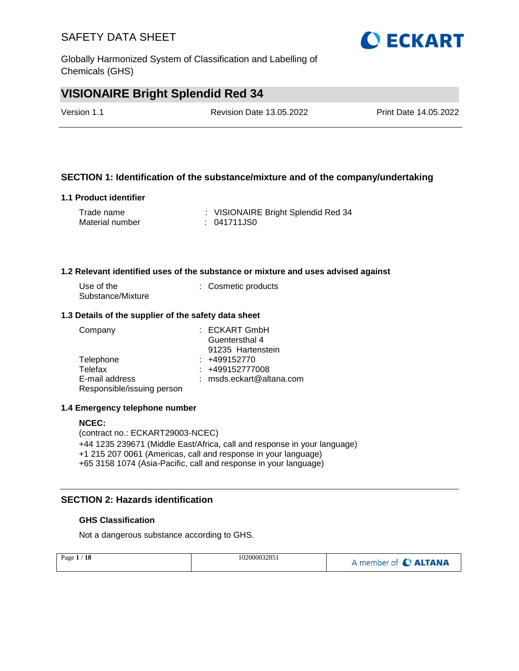Globally Harmonized System of Classification and Labelling of Chemicals (GHS)

## **VISIONAIRE Bright Splendid Red 34**

| Version 1.1 | Revision Date 13.05.2022 | Print Date 14.05.2022 |
|-------------|--------------------------|-----------------------|
|             |                          |                       |

## **SECTION 1: Identification of the substance/mixture and of the company/undertaking**

#### **1.1 Product identifier**

| Trade name      | : VISIONAIRE Bright Splendid Red 34 |
|-----------------|-------------------------------------|
| Material number | : 041711JS0                         |

#### **1.2 Relevant identified uses of the substance or mixture and uses advised against**

| Use of the        | : Cosmetic products |
|-------------------|---------------------|
| Substance/Mixture |                     |

#### **1.3 Details of the supplier of the safety data sheet**

| Company                    | $:$ ECKART GmbH            |
|----------------------------|----------------------------|
|                            | Guentersthal 4             |
|                            | 91235 Hartenstein          |
| Telephone                  | $: +499152770$             |
| Telefax                    | $: +499152777008$          |
| E-mail address             | $:$ msds.eckart@altana.com |
| Responsible/issuing person |                            |

#### **1.4 Emergency telephone number**

#### **NCEC:**

(contract no.: ECKART29003-NCEC) +44 1235 239671 (Middle East/Africa, call and response in your language) +1 215 207 0061 (Americas, call and response in your language) +65 3158 1074 (Asia-Pacific, call and response in your language)

## **SECTION 2: Hazards identification**

### **GHS Classification**

Not a dangerous substance according to GHS.

| Page $1/18$ | 102000032851 | A member of C ALTANA |
|-------------|--------------|----------------------|
|             |              |                      |

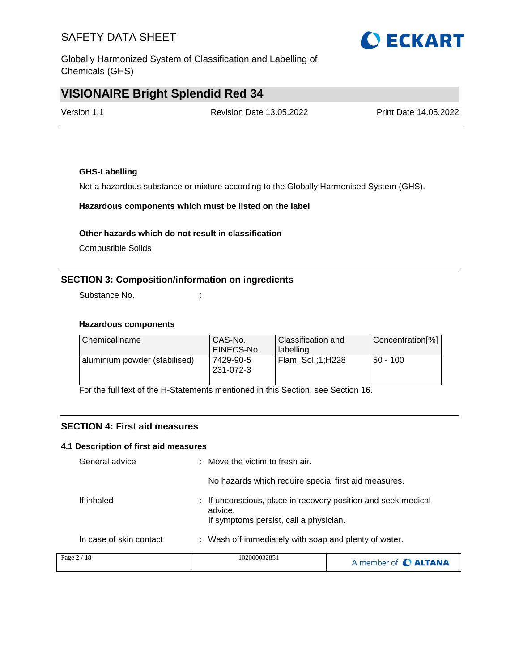Globally Harmonized System of Classification and Labelling of Chemicals (GHS)

## **VISIONAIRE Bright Splendid Red 34**

| Version 1.1 | <b>Revision Date 13.05.2022</b> | Print Date 14.05.2022 |
|-------------|---------------------------------|-----------------------|
|             |                                 |                       |

### **GHS-Labelling**

Not a hazardous substance or mixture according to the Globally Harmonised System (GHS).

### **Hazardous components which must be listed on the label**

#### **Other hazards which do not result in classification**

Combustible Solids

## **SECTION 3: Composition/information on ingredients**

Substance No. **:** :

### **Hazardous components**

| l Chemical name               | CAS-No.<br>EINECS-No.  | Classification and<br>labelling | Concentration[%] |
|-------------------------------|------------------------|---------------------------------|------------------|
| aluminium powder (stabilised) | 7429-90-5<br>231-072-3 | Flam. Sol.;1;H228               | l 50 - 100       |

For the full text of the H-Statements mentioned in this Section, see Section 16.

## **SECTION 4: First aid measures**

#### **4.1 Description of first aid measures**

| Page 2 / 18             | 102000032851                                                                                                       | A member of C ALTANA |
|-------------------------|--------------------------------------------------------------------------------------------------------------------|----------------------|
| In case of skin contact | : Wash off immediately with soap and plenty of water.                                                              |                      |
| If inhaled              | : If unconscious, place in recovery position and seek medical<br>advice.<br>If symptoms persist, call a physician. |                      |
|                         | No hazards which require special first aid measures.                                                               |                      |
| General advice          | $\therefore$ Move the victim to fresh air.                                                                         |                      |

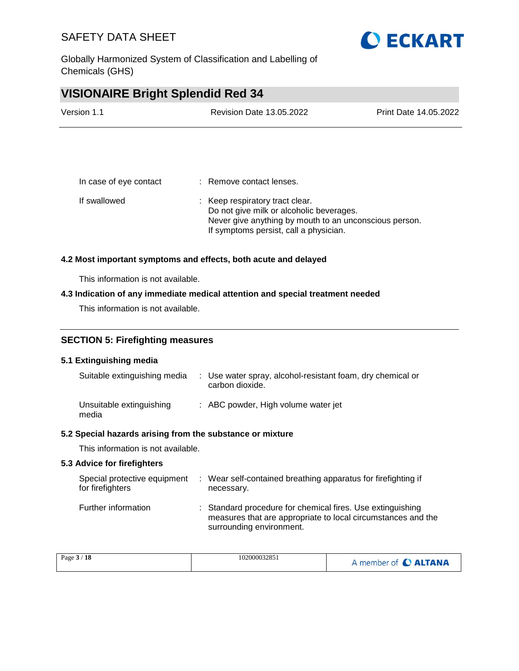Globally Harmonized System of Classification and Labelling of Chemicals (GHS)



| Version 1.1 | <b>Revision Date 13.05.2022</b> | <b>Print Date 14.05.2022</b> |
|-------------|---------------------------------|------------------------------|
|             |                                 |                              |

| In case of eye contact | : Remove contact lenses.                                                                                                                                                        |
|------------------------|---------------------------------------------------------------------------------------------------------------------------------------------------------------------------------|
| If swallowed           | : Keep respiratory tract clear.<br>Do not give milk or alcoholic beverages.<br>Never give anything by mouth to an unconscious person.<br>If symptoms persist, call a physician. |

#### **4.2 Most important symptoms and effects, both acute and delayed**

This information is not available.

### **4.3 Indication of any immediate medical attention and special treatment needed**

This information is not available.

## **SECTION 5: Firefighting measures**

#### **5.1 Extinguishing media**

| Suitable extinguishing media      | : Use water spray, alcohol-resistant foam, dry chemical or<br>carbon dioxide. |
|-----------------------------------|-------------------------------------------------------------------------------|
| Unsuitable extinguishing<br>media | : ABC powder, High volume water jet                                           |

#### **5.2 Special hazards arising from the substance or mixture**

This information is not available.

### **5.3 Advice for firefighters**

| Special protective equipment<br>for firefighters | : Wear self-contained breathing apparatus for firefighting if<br>necessary.                                                                            |
|--------------------------------------------------|--------------------------------------------------------------------------------------------------------------------------------------------------------|
| Further information                              | : Standard procedure for chemical fires. Use extinguishing<br>measures that are appropriate to local circumstances and the<br>surrounding environment. |

|  | 102000032851<br>Page 3 / 18 | A member of C ALTANA |
|--|-----------------------------|----------------------|
|--|-----------------------------|----------------------|

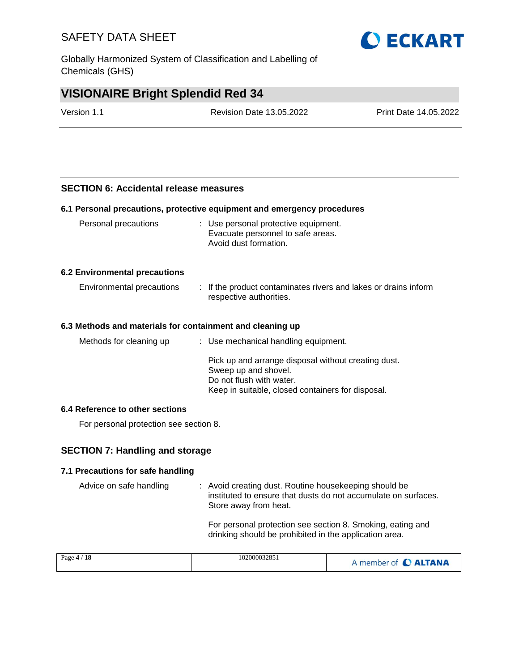Globally Harmonized System of Classification and Labelling of Chemicals (GHS)



## **VISIONAIRE Bright Splendid Red 34**

| Version 1.1 | <b>Revision Date 13.05.2022</b> | <b>Print Date 14.05.2022</b> |
|-------------|---------------------------------|------------------------------|
|             |                                 |                              |

### **SECTION 6: Accidental release measures**

#### **6.1 Personal precautions, protective equipment and emergency procedures**

| : Use personal protective equipment.<br>Evacuate personnel to safe areas.<br>Avoid dust formation.                                                           |
|--------------------------------------------------------------------------------------------------------------------------------------------------------------|
|                                                                                                                                                              |
| : If the product contaminates rivers and lakes or drains inform<br>respective authorities.                                                                   |
| 6.3 Methods and materials for containment and cleaning up                                                                                                    |
| : Use mechanical handling equipment.                                                                                                                         |
| Pick up and arrange disposal without creating dust.<br>Sweep up and shovel.<br>Do not flush with water.<br>Keep in suitable, closed containers for disposal. |
|                                                                                                                                                              |

#### **6.4 Reference to other sections**

For personal protection see section 8.

### **SECTION 7: Handling and storage**

### **7.1 Precautions for safe handling**

Advice on safe handling : Avoid creating dust. Routine housekeeping should be instituted to ensure that dusts do not accumulate on surfaces. Store away from heat.

> For personal protection see section 8. Smoking, eating and drinking should be prohibited in the application area.

| Page $4/18$ | 102000032851 | A member of C ALTANA |
|-------------|--------------|----------------------|
|-------------|--------------|----------------------|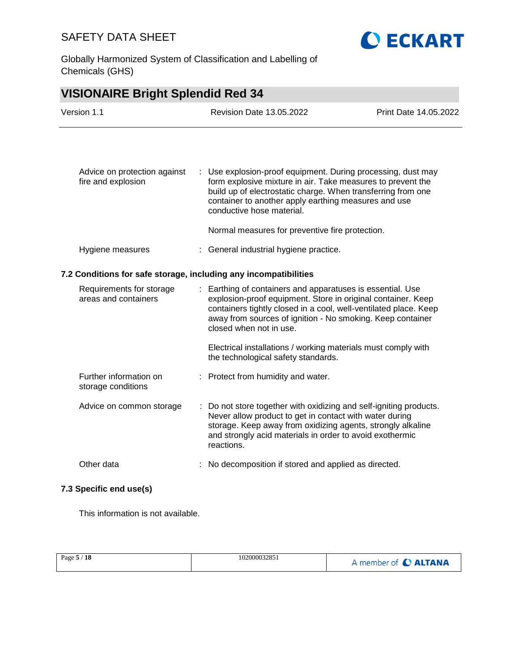Globally Harmonized System of Classification and Labelling of Chemicals (GHS)



**O ECKART** 

| Advice on protection against<br>fire and explosion               | ÷. | Use explosion-proof equipment. During processing, dust may<br>form explosive mixture in air. Take measures to prevent the<br>build up of electrostatic charge. When transferring from one<br>container to another apply earthing measures and use<br>conductive hose material.          |
|------------------------------------------------------------------|----|-----------------------------------------------------------------------------------------------------------------------------------------------------------------------------------------------------------------------------------------------------------------------------------------|
|                                                                  |    | Normal measures for preventive fire protection.                                                                                                                                                                                                                                         |
| Hygiene measures                                                 |    | : General industrial hygiene practice.                                                                                                                                                                                                                                                  |
| 7.2 Conditions for safe storage, including any incompatibilities |    |                                                                                                                                                                                                                                                                                         |
| Requirements for storage<br>areas and containers                 |    | : Earthing of containers and apparatuses is essential. Use<br>explosion-proof equipment. Store in original container. Keep<br>containers tightly closed in a cool, well-ventilated place. Keep<br>away from sources of ignition - No smoking. Keep container<br>closed when not in use. |
|                                                                  |    | Electrical installations / working materials must comply with<br>the technological safety standards.                                                                                                                                                                                    |
| Further information on<br>storage conditions                     |    | : Protect from humidity and water.                                                                                                                                                                                                                                                      |
| Advice on common storage                                         |    | Do not store together with oxidizing and self-igniting products.<br>Never allow product to get in contact with water during<br>storage. Keep away from oxidizing agents, strongly alkaline<br>and strongly acid materials in order to avoid exothermic<br>reactions.                    |
| Other data                                                       |    | No decomposition if stored and applied as directed.                                                                                                                                                                                                                                     |

#### **7.3 Specific end use(s)**

This information is not available.

| Page 5 / 18 | 102000032851 | A member of C ALTANA |
|-------------|--------------|----------------------|
|             |              |                      |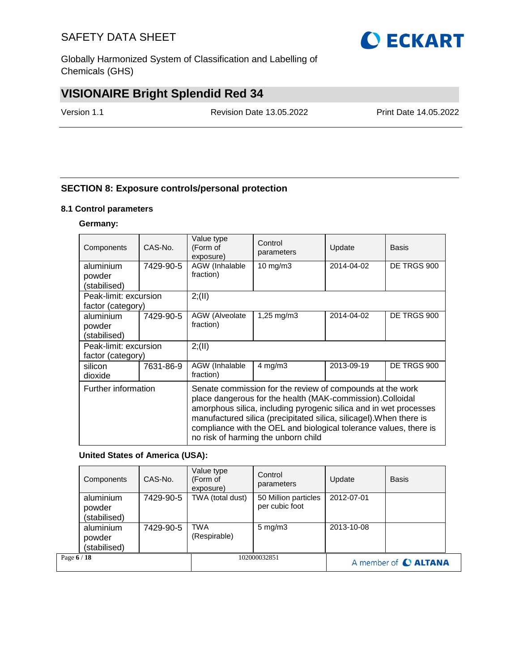Globally Harmonized System of Classification and Labelling of Chemicals (GHS)

# **VISIONAIRE Bright Splendid Red 34**

Version 1.1 Revision Date 13.05.2022 Print Date 14.05.2022

## **SECTION 8: Exposure controls/personal protection**

#### **8.1 Control parameters**

### **Germany:**

| Components                          | CAS-No.   | Value type<br>(Form of<br>exposure) | Control<br>parameters                                                                                                                                                                                                                                                                                                                                                          | Update     | <b>Basis</b> |  |  |
|-------------------------------------|-----------|-------------------------------------|--------------------------------------------------------------------------------------------------------------------------------------------------------------------------------------------------------------------------------------------------------------------------------------------------------------------------------------------------------------------------------|------------|--------------|--|--|
| aluminium                           | 7429-90-5 | AGW (Inhalable<br>fraction)         | $10 \text{ mg/m}$                                                                                                                                                                                                                                                                                                                                                              | 2014-04-02 | DE TRGS 900  |  |  |
| powder<br>(stabilised)              |           |                                     |                                                                                                                                                                                                                                                                                                                                                                                |            |              |  |  |
| Peak-limit: excursion               |           | 2; (II)                             |                                                                                                                                                                                                                                                                                                                                                                                |            |              |  |  |
| factor (category)                   |           |                                     |                                                                                                                                                                                                                                                                                                                                                                                |            |              |  |  |
| aluminium<br>powder<br>(stabilised) | 7429-90-5 | <b>AGW</b> (Alveolate<br>fraction)  | 1,25 mg/m $3$                                                                                                                                                                                                                                                                                                                                                                  | 2014-04-02 | DE TRGS 900  |  |  |
| Peak-limit: excursion               |           | 2; (II)                             |                                                                                                                                                                                                                                                                                                                                                                                |            |              |  |  |
| factor (category)                   |           |                                     |                                                                                                                                                                                                                                                                                                                                                                                |            |              |  |  |
| silicon<br>dioxide                  | 7631-86-9 | AGW (Inhalable<br>fraction)         | $4$ mg/m $3$                                                                                                                                                                                                                                                                                                                                                                   | 2013-09-19 | DE TRGS 900  |  |  |
| Further information                 |           |                                     | Senate commission for the review of compounds at the work<br>place dangerous for the health (MAK-commission).Colloidal<br>amorphous silica, including pyrogenic silica and in wet processes<br>manufactured silica (precipitated silica, silicagel). When there is<br>compliance with the OEL and biological tolerance values, there is<br>no risk of harming the unborn child |            |              |  |  |

### **United States of America (USA):**

|             | Components                          | CAS-No.   | Value type<br>(Form of<br>exposure) | Control<br>parameters                  | Update     | <b>Basis</b>         |
|-------------|-------------------------------------|-----------|-------------------------------------|----------------------------------------|------------|----------------------|
|             | aluminium<br>powder<br>(stabilised) | 7429-90-5 | TWA (total dust)                    | 50 Million particles<br>per cubic foot | 2012-07-01 |                      |
|             | aluminium<br>powder<br>(stabilised) | 7429-90-5 | <b>TWA</b><br>(Respirable)          | $5 \text{ mg/m}$ 3                     | 2013-10-08 |                      |
| Page 6 / 18 |                                     |           |                                     | 102000032851                           |            | A member of C ALTANA |

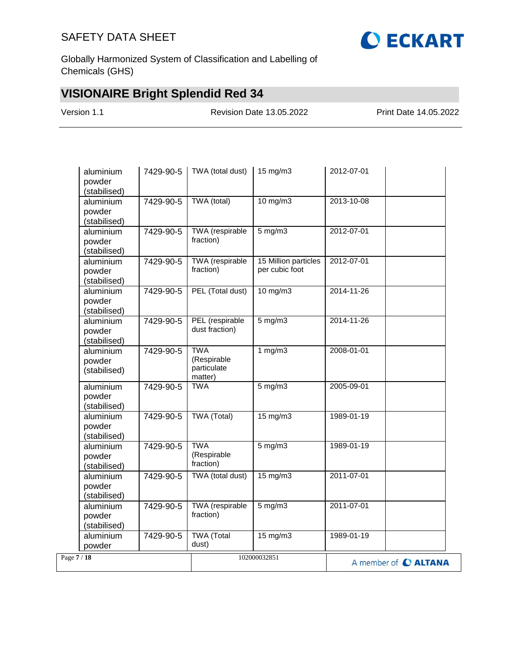

Globally Harmonized System of Classification and Labelling of Chemicals (GHS)

# **VISIONAIRE Bright Splendid Red 34**

Version 1.1 Revision Date 13.05.2022 Print Date 14.05.2022

| aluminium<br>powder<br>(stabilised) | 7429-90-5 | TWA (total dust)                                    | 15 mg/m3                               | 2012-07-01           |  |
|-------------------------------------|-----------|-----------------------------------------------------|----------------------------------------|----------------------|--|
| aluminium<br>powder<br>(stabilised) | 7429-90-5 | TWA (total)                                         | 10 mg/m3                               | 2013-10-08           |  |
| aluminium<br>powder<br>(stabilised) | 7429-90-5 | TWA (respirable<br>fraction)                        | $5$ mg/m $3$                           | 2012-07-01           |  |
| aluminium<br>powder<br>(stabilised) | 7429-90-5 | <b>TWA</b> (respirable<br>fraction)                 | 15 Million particles<br>per cubic foot | 2012-07-01           |  |
| aluminium<br>powder<br>(stabilised) | 7429-90-5 | PEL (Total dust)                                    | $10$ mg/m $3$                          | 2014-11-26           |  |
| aluminium<br>powder<br>(stabilised) | 7429-90-5 | PEL (respirable<br>dust fraction)                   | $5$ mg/m $3$                           | 2014-11-26           |  |
| aluminium<br>powder<br>(stabilised) | 7429-90-5 | <b>TWA</b><br>(Respirable<br>particulate<br>matter) | 1 $mg/m3$                              | 2008-01-01           |  |
| aluminium<br>powder<br>(stabilised) | 7429-90-5 | <b>TWA</b>                                          | $5$ mg/m $3$                           | 2005-09-01           |  |
| aluminium<br>powder<br>(stabilised) | 7429-90-5 | <b>TWA (Total)</b>                                  | $15 \text{ mg/m}$                      | 1989-01-19           |  |
| aluminium<br>powder<br>(stabilised) | 7429-90-5 | <b>TWA</b><br>(Respirable<br>fraction)              | $5$ mg/m $3$                           | 1989-01-19           |  |
| aluminium<br>powder<br>(stabilised) | 7429-90-5 | TWA (total dust)                                    | $15 \text{ mg/m}$                      | 2011-07-01           |  |
| aluminium<br>powder<br>(stabilised) | 7429-90-5 | <b>TWA</b> (respirable<br>fraction)                 | $5$ mg/m $3$                           | 2011-07-01           |  |
| aluminium<br>powder                 | 7429-90-5 | <b>TWA</b> (Total<br>dust)                          | $15 \text{ mg/m}$                      | 1989-01-19           |  |
| Page 7 / 18                         |           |                                                     | 102000032851                           | A member of C ALTANA |  |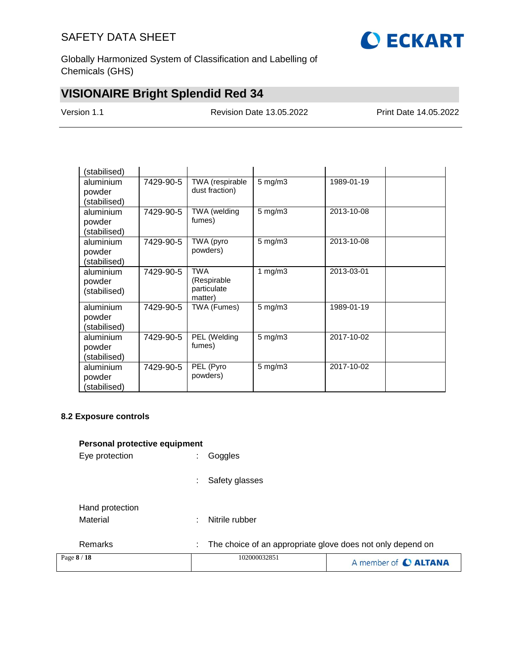

Globally Harmonized System of Classification and Labelling of Chemicals (GHS)

# **VISIONAIRE Bright Splendid Red 34**

Version 1.1 Revision Date 13.05.2022 Print Date 14.05.2022

| (stabilised) |           |                        |                    |            |  |
|--------------|-----------|------------------------|--------------------|------------|--|
| aluminium    | 7429-90-5 | TWA (respirable        | $5$ mg/m $3$       | 1989-01-19 |  |
| powder       |           | dust fraction)         |                    |            |  |
| (stabilised) |           |                        |                    |            |  |
| aluminium    | 7429-90-5 | TWA (welding           | $5$ mg/m $3$       | 2013-10-08 |  |
| powder       |           | fumes)                 |                    |            |  |
| (stabilised) |           |                        |                    |            |  |
| aluminium    | 7429-90-5 | TWA (pyro              | $5$ mg/m $3$       | 2013-10-08 |  |
| powder       |           | powders)               |                    |            |  |
| (stabilised) |           |                        |                    |            |  |
| aluminium    | 7429-90-5 | <b>TWA</b>             | 1 $mg/m3$          | 2013-03-01 |  |
| powder       |           | (Respirable)           |                    |            |  |
| (stabilised) |           | particulate<br>matter) |                    |            |  |
| aluminium    | 7429-90-5 | TWA (Fumes)            | $5$ mg/m $3$       | 1989-01-19 |  |
| powder       |           |                        |                    |            |  |
| (stabilised) |           |                        |                    |            |  |
| aluminium    | 7429-90-5 | PEL (Welding           | $5 \text{ mg/m}$ 3 | 2017-10-02 |  |
| powder       |           | fumes)                 |                    |            |  |
| (stabilised) |           |                        |                    |            |  |
| aluminium    | 7429-90-5 | PEL (Pyro              | $5 \text{ mg/m}$ 3 | 2017-10-02 |  |
| powder       |           | powders)               |                    |            |  |
| (stabilised) |           |                        |                    |            |  |
|              |           |                        |                    |            |  |

## **8.2 Exposure controls**

| Personal protective equipment |  |
|-------------------------------|--|
|-------------------------------|--|

| Page 8 / 18                 | 102000032851                                                    | A member of C ALTANA |
|-----------------------------|-----------------------------------------------------------------|----------------------|
| Remarks                     | The choice of an appropriate glove does not only depend on<br>÷ |                      |
| Hand protection<br>Material | Nitrile rubber<br>÷                                             |                      |
|                             | Safety glasses<br>÷                                             |                      |
| Eye protection              | Goggles<br>$\mathbf{r}$                                         |                      |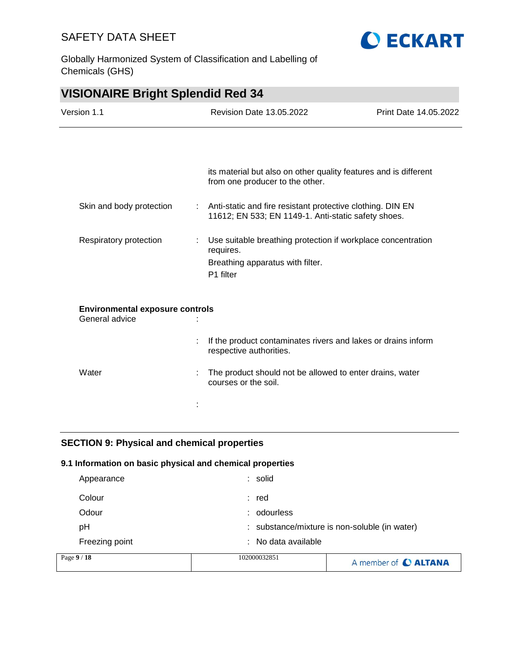



| <b>VISIONAIRE Bright Splendid Red 34</b>                 |                           |                                                                                                                            |                       |
|----------------------------------------------------------|---------------------------|----------------------------------------------------------------------------------------------------------------------------|-----------------------|
| Version 1.1                                              |                           | Revision Date 13.05.2022                                                                                                   | Print Date 14.05.2022 |
|                                                          |                           |                                                                                                                            |                       |
|                                                          |                           | its material but also on other quality features and is different<br>from one producer to the other.                        |                       |
| Skin and body protection                                 |                           | Anti-static and fire resistant protective clothing. DIN EN<br>11612; EN 533; EN 1149-1. Anti-static safety shoes.          |                       |
| Respiratory protection                                   | $\mathbb{R}^{\mathbb{Z}}$ | Use suitable breathing protection if workplace concentration<br>requires.<br>Breathing apparatus with filter.<br>P1 filter |                       |
| <b>Environmental exposure controls</b><br>General advice |                           |                                                                                                                            |                       |
|                                                          |                           | If the product contaminates rivers and lakes or drains inform<br>respective authorities.                                   |                       |
| Water                                                    |                           | The product should not be allowed to enter drains, water<br>courses or the soil.                                           |                       |
|                                                          |                           |                                                                                                                            |                       |

## **SECTION 9: Physical and chemical properties**

## **9.1 Information on basic physical and chemical properties**

| Page 9 / 18    | 102000032851        | A member of <b>C ALTANA</b>                   |
|----------------|---------------------|-----------------------------------------------|
| Freezing point | : No data available |                                               |
| рH             |                     | : substance/mixture is non-soluble (in water) |
| Odour          | : odourless         |                                               |
| Colour         | : red               |                                               |
| Appearance     | : solid             |                                               |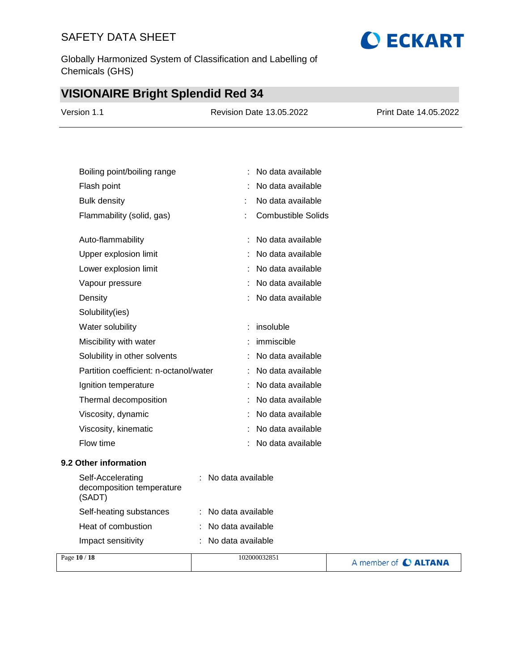Globally Harmonized System of Classification and Labelling of Chemicals (GHS)

# **VISIONAIRE Bright Splendid Red 34**

| Version 1.1 | <b>Revision Date 13.05.2022</b> | <b>Print Date 14.05.2022</b> |
|-------------|---------------------------------|------------------------------|
|             |                                 |                              |

| Boiling point/boiling range            |   | No data available         |
|----------------------------------------|---|---------------------------|
| Flash point                            |   | No data available         |
| Bulk density                           |   | No data available         |
| Flammability (solid, gas)              | t | <b>Combustible Solids</b> |
|                                        |   |                           |
| Auto-flammability                      |   | No data available         |
| Upper explosion limit                  |   | No data available         |
| Lower explosion limit                  |   | No data available         |
| Vapour pressure                        |   | No data available         |
| Density                                |   | No data available         |
| Solubility(ies)                        |   |                           |
| Water solubility                       | ÷ | insoluble                 |
| Miscibility with water                 |   | immiscible                |
| Solubility in other solvents           |   | No data available         |
| Partition coefficient: n-octanol/water |   | No data available         |
| Ignition temperature                   |   | No data available         |
| Thermal decomposition                  |   | No data available         |
| Viscosity, dynamic                     |   | No data available         |
| Viscosity, kinematic                   |   | No data available         |
| Flow time                              |   | No data available         |
|                                        |   |                           |

## **9.2 Other information**

| Self-Accelerating<br>decomposition temperature<br>(SADT) | : No data available            |  |
|----------------------------------------------------------|--------------------------------|--|
| Self-heating substances                                  | $\therefore$ No data available |  |
| Heat of combustion                                       | $:$ No data available          |  |
| Impact sensitivity                                       | $:$ No data available          |  |
| $\overline{10/10}$                                       | 100000000000                   |  |

| Page 10 / 18 | 102000032851 | A member of C ALTANA |
|--------------|--------------|----------------------|
|--------------|--------------|----------------------|

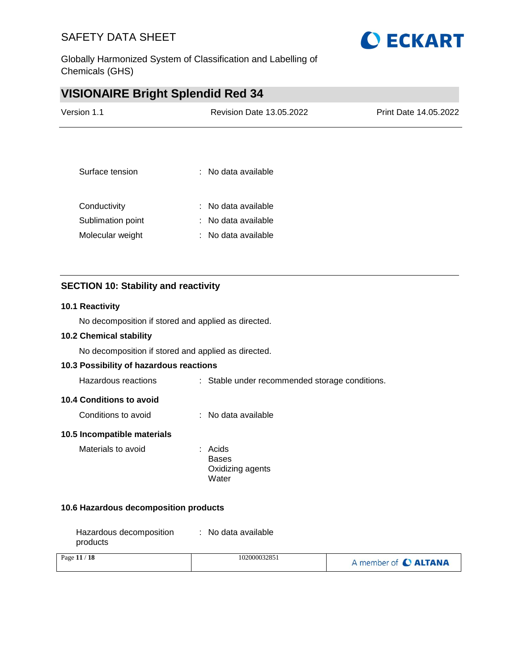

Globally Harmonized System of Classification and Labelling of Chemicals (GHS)

## **VISIONAIRE Bright Splendid Red 34**

| Version 1.1       | <b>Revision Date 13.05.2022</b> | Print Date 14.05.2022 |
|-------------------|---------------------------------|-----------------------|
|                   |                                 |                       |
| Surface tension   | : No data available             |                       |
| Conductivity      | : No data available             |                       |
| Sublimation point | : No data available             |                       |
| Molecular weight  | : No data available             |                       |

## **SECTION 10: Stability and reactivity**

#### **10.1 Reactivity**

No decomposition if stored and applied as directed.

### **10.2 Chemical stability**

No decomposition if stored and applied as directed.

## **10.3 Possibility of hazardous reactions**

#### **10.4 Conditions to avoid**

| No data available<br>Conditions to avoid |  |
|------------------------------------------|--|
|------------------------------------------|--|

## **10.5 Incompatible materials**

| Materials to avoid | : Acids          |
|--------------------|------------------|
|                    | Bases            |
|                    | Oxidizing agents |
|                    | Water            |

#### **10.6 Hazardous decomposition products**

| Hazardous decomposition | : No data available |
|-------------------------|---------------------|
| products                |                     |

| Page 11 / 18 | 102000032851 | A member of C ALTANA |
|--------------|--------------|----------------------|
|              |              |                      |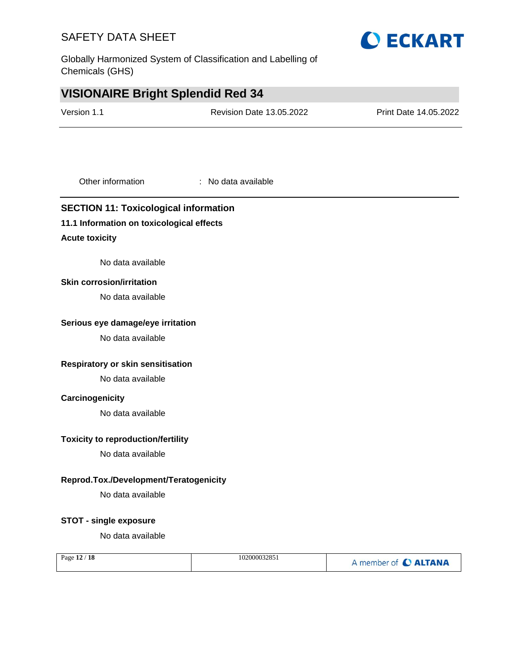Globally Harmonized System of Classification and Labelling of Chemicals (GHS)

## **VISIONAIRE Bright Splendid Red 34**

| <b>Revision Date 13.05.2022</b>           | Print Date 14.05.2022                        |
|-------------------------------------------|----------------------------------------------|
|                                           |                                              |
| : No data available                       |                                              |
| 11.1 Information on toxicological effects |                                              |
|                                           | <b>SECTION 11: Toxicological information</b> |

### **Acute toxicity**

No data available

#### **Skin corrosion/irritation**

No data available

#### **Serious eye damage/eye irritation**

No data available

## **Respiratory or skin sensitisation**

No data available

### **Carcinogenicity**

No data available

#### **Toxicity to reproduction/fertility**

No data available

### **Reprod.Tox./Development/Teratogenicity**

No data available

### **STOT - single exposure**

No data available

| Page 12 / 18 | 102000032851 | A member of C ALTANA |
|--------------|--------------|----------------------|
|--------------|--------------|----------------------|

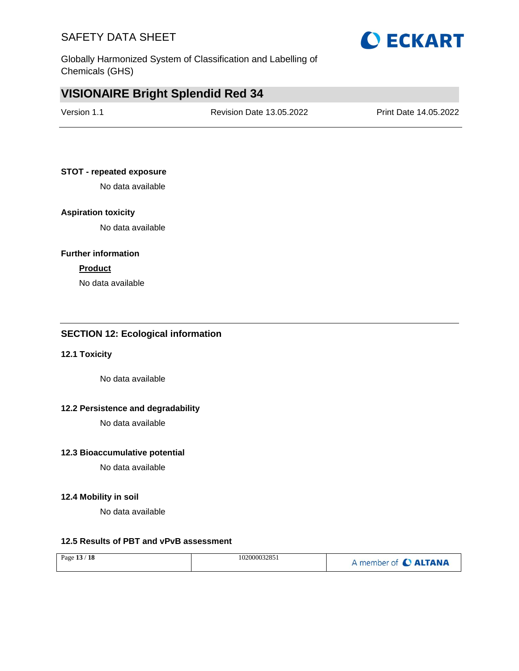Globally Harmonized System of Classification and Labelling of Chemicals (GHS)

## **VISIONAIRE Bright Splendid Red 34**

| Version 1.1 | <b>Revision Date 13.05.2022</b> | Print Date 14.05.2022 |
|-------------|---------------------------------|-----------------------|
|             |                                 |                       |

#### **STOT - repeated exposure**

No data available

### **Aspiration toxicity**

No data available

#### **Further information**

#### **Product**

No data available

### **SECTION 12: Ecological information**

### **12.1 Toxicity**

No data available

### **12.2 Persistence and degradability**

No data available

#### **12.3 Bioaccumulative potential**

No data available

### **12.4 Mobility in soil**

No data available

## **12.5 Results of PBT and vPvB assessment**

| Page 13 / 18 | 102000032851 | A member of C ALTANA |
|--------------|--------------|----------------------|
|--------------|--------------|----------------------|

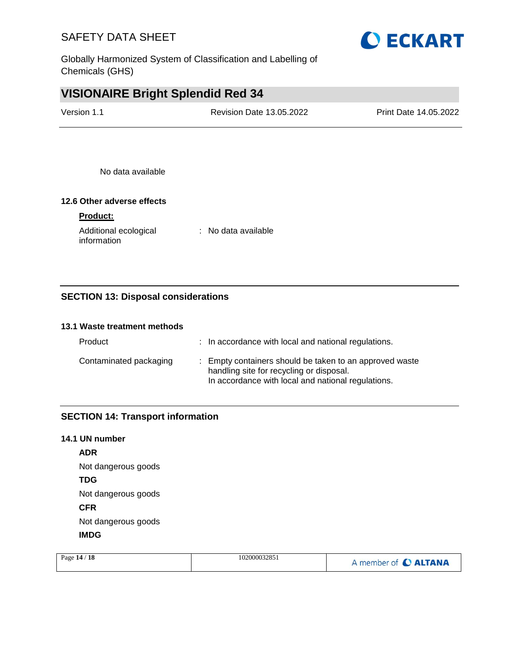Globally Harmonized System of Classification and Labelling of Chemicals (GHS)

## **VISIONAIRE Bright Splendid Red 34**

| Version 1.1 | <b>Revision Date 13.05.2022</b> | <b>Print Date 14.05.2022</b> |
|-------------|---------------------------------|------------------------------|
|             |                                 |                              |

No data available

## **12.6 Other adverse effects**

### **Product:**

Additional ecological information : No data available

## **SECTION 13: Disposal considerations**

#### **13.1 Waste treatment methods**

| Product                | : In accordance with local and national regulations.                                                                                                      |
|------------------------|-----------------------------------------------------------------------------------------------------------------------------------------------------------|
| Contaminated packaging | : Empty containers should be taken to an approved waste<br>handling site for recycling or disposal.<br>In accordance with local and national regulations. |

## **SECTION 14: Transport information**

#### **14.1 UN number**

**ADR** Not dangerous goods **TDG** Not dangerous goods **CFR** Not dangerous goods **IMDG**

| Page $14/18$ | 102000032851 | A member of C ALTANA |
|--------------|--------------|----------------------|
|              |              |                      |

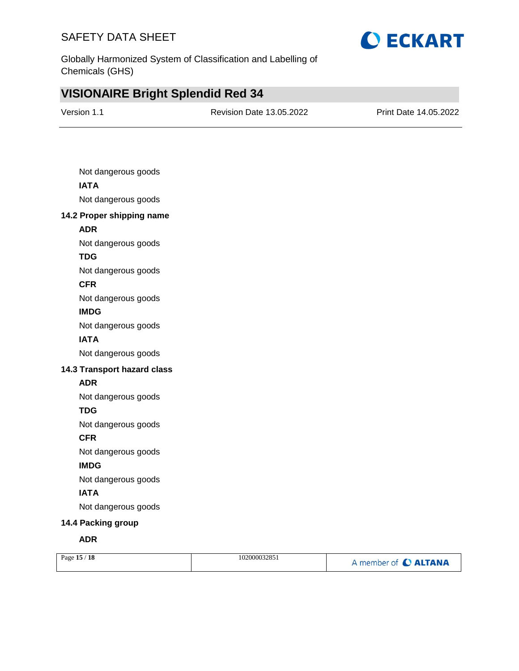

Globally Harmonized System of Classification and Labelling of Chemicals (GHS)

# **VISIONAIRE Bright Splendid Red 34**

| Version 1.1 | <b>Revision Date 13.05.2022</b> | Print Date 14.05.2022 |
|-------------|---------------------------------|-----------------------|
|             |                                 |                       |

| Not dangerous goods         |
|-----------------------------|
| <b>IATA</b>                 |
| Not dangerous goods         |
| 14.2 Proper shipping name   |
| <b>ADR</b>                  |
| Not dangerous goods         |
| <b>TDG</b>                  |
| Not dangerous goods         |
| <b>CFR</b>                  |
| Not dangerous goods         |
| <b>IMDG</b>                 |
| Not dangerous goods         |
| <b>IATA</b>                 |
| Not dangerous goods         |
| 14.3 Transport hazard class |
| <b>ADR</b>                  |
| Not dangerous goods         |
| <b>TDG</b>                  |
| Not dangerous goods         |
| <b>CFR</b>                  |
| Not dangerous goods         |
| <b>IMDG</b>                 |
| Not dangerous goods         |
| <b>IATA</b>                 |
| Not dangerous goods         |
| 14.4 Packing group          |
| <b>ADR</b>                  |
|                             |

| Page 15 / 18 | 102000032851 | A member of C ALTANA |
|--------------|--------------|----------------------|
|              |              |                      |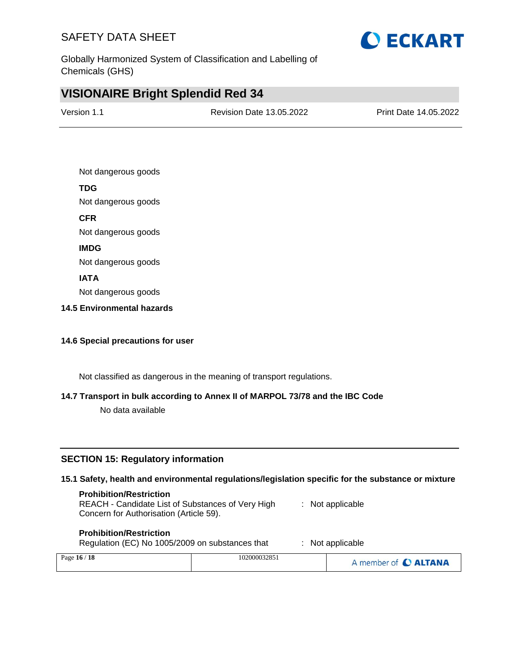

Globally Harmonized System of Classification and Labelling of Chemicals (GHS)

## **VISIONAIRE Bright Splendid Red 34**

| Version 1.1 | <b>Revision Date 13.05.2022</b> | <b>Print Date 14.05.2022</b> |
|-------------|---------------------------------|------------------------------|
|             |                                 |                              |

Not dangerous goods

### **TDG**

Not dangerous goods

#### **CFR**

Not dangerous goods

## **IMDG**

Not dangerous goods

#### **IATA**

Not dangerous goods

#### **14.5 Environmental hazards**

### **14.6 Special precautions for user**

Not classified as dangerous in the meaning of transport regulations.

## **14.7 Transport in bulk according to Annex II of MARPOL 73/78 and the IBC Code**

No data available

## **SECTION 15: Regulatory information**

#### **15.1 Safety, health and environmental regulations/legislation specific for the substance or mixture**

#### **Prohibition/Restriction**

REACH - Candidate List of Substances of Very High Concern for Authorisation (Article 59). : Not applicable

#### **Prohibition/Restriction**

Regulation (EC) No 1005/2009 on substances that : Not applicable

| Page 16 / 18 | 102000032851 | A member of C ALTANA |
|--------------|--------------|----------------------|
|              |              |                      |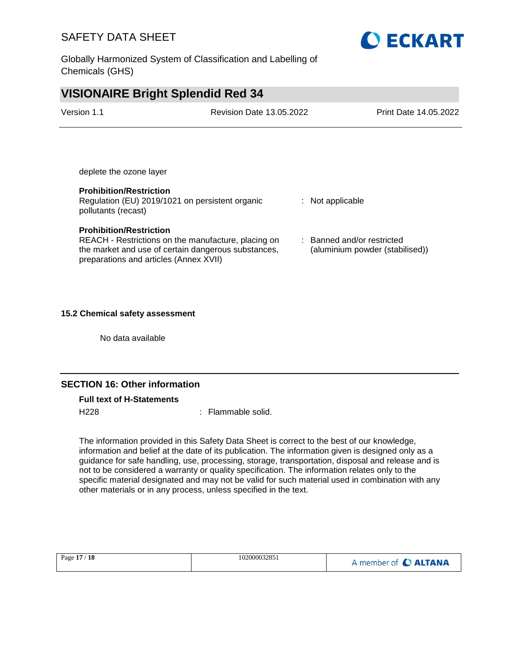Globally Harmonized System of Classification and Labelling of Chemicals (GHS)

## **VISIONAIRE Bright Splendid Red 34**

| Version 1.1             | <b>Revision Date 13.05.2022</b> | Print Date 14.05.2022 |
|-------------------------|---------------------------------|-----------------------|
|                         |                                 |                       |
|                         |                                 |                       |
| deplete the ozone layer |                                 |                       |

#### **Prohibition/Restriction**

Regulation (EU) 2019/1021 on persistent organic pollutants (recast)

#### **Prohibition/Restriction**

REACH - Restrictions on the manufacture, placing on the market and use of certain dangerous substances, preparations and articles (Annex XVII)

#### : Not applicable

: Banned and/or restricted (aluminium powder (stabilised))

#### **15.2 Chemical safety assessment**

No data available

### **SECTION 16: Other information**

#### **Full text of H-Statements**

H<sub>228</sub> : Flammable solid.

The information provided in this Safety Data Sheet is correct to the best of our knowledge, information and belief at the date of its publication. The information given is designed only as a guidance for safe handling, use, processing, storage, transportation, disposal and release and is not to be considered a warranty or quality specification. The information relates only to the specific material designated and may not be valid for such material used in combination with any other materials or in any process, unless specified in the text.

| Page 17 / 18 | 102000032851 | A member of C ALTANA |
|--------------|--------------|----------------------|
|              |              |                      |